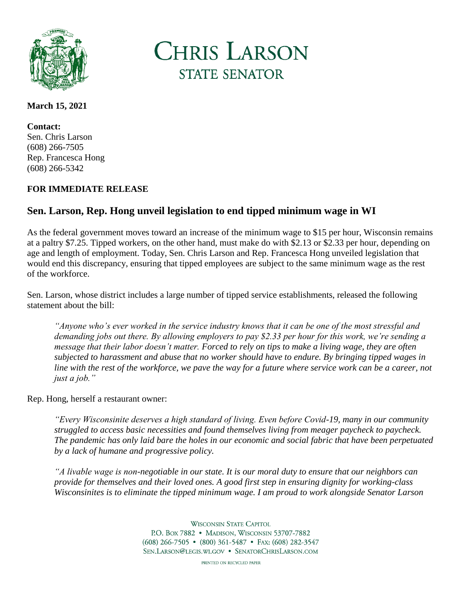

**CHRIS LARSON STATE SENATOR** 

### **March 15, 2021**

**Contact:** Sen. Chris Larson (608) 266-7505 Rep. Francesca Hong (608) 266-5342

## **FOR IMMEDIATE RELEASE**

# **Sen. Larson, Rep. Hong unveil legislation to end tipped minimum wage in WI**

As the federal government moves toward an increase of the minimum wage to \$15 per hour, Wisconsin remains at a paltry \$7.25. Tipped workers, on the other hand, must make do with \$2.13 or \$2.33 per hour, depending on age and length of employment. Today, Sen. Chris Larson and Rep. Francesca Hong unveiled legislation that would end this discrepancy, ensuring that tipped employees are subject to the same minimum wage as the rest of the workforce.

Sen. Larson, whose district includes a large number of tipped service establishments, released the following statement about the bill:

*"Anyone who's ever worked in the service industry knows that it can be one of the most stressful and demanding jobs out there. By allowing employers to pay \$2.33 per hour for this work, we're sending a message that their labor doesn't matter. Forced to rely on tips to make a living wage, they are often subjected to harassment and abuse that no worker should have to endure. By bringing tipped wages in line with the rest of the workforce, we pave the way for a future where service work can be a career, not just a job."*

### Rep. Hong, herself a restaurant owner:

*"Every Wisconsinite deserves a high standard of living. Even before Covid-19, many in our community struggled to access basic necessities and found themselves living from meager paycheck to paycheck. The pandemic has only laid bare the holes in our economic and social fabric that have been perpetuated by a lack of humane and progressive policy.*

*"A livable wage is non-negotiable in our state. It is our moral duty to ensure that our neighbors can provide for themselves and their loved ones. A good first step in ensuring dignity for working-class Wisconsinites is to eliminate the tipped minimum wage. I am proud to work alongside Senator Larson* 

> **WISCONSIN STATE CAPITOL** P.O. Box 7882 • MADISON, WISCONSIN 53707-7882  $(608)$  266-7505 •  $(800)$  361-5487 • Fax:  $(608)$  282-3547 SEN.LARSON@LEGIS.WI.GOV . SENATORCHRISLARSON.COM

> > PRINTED ON RECYCLED PAPER